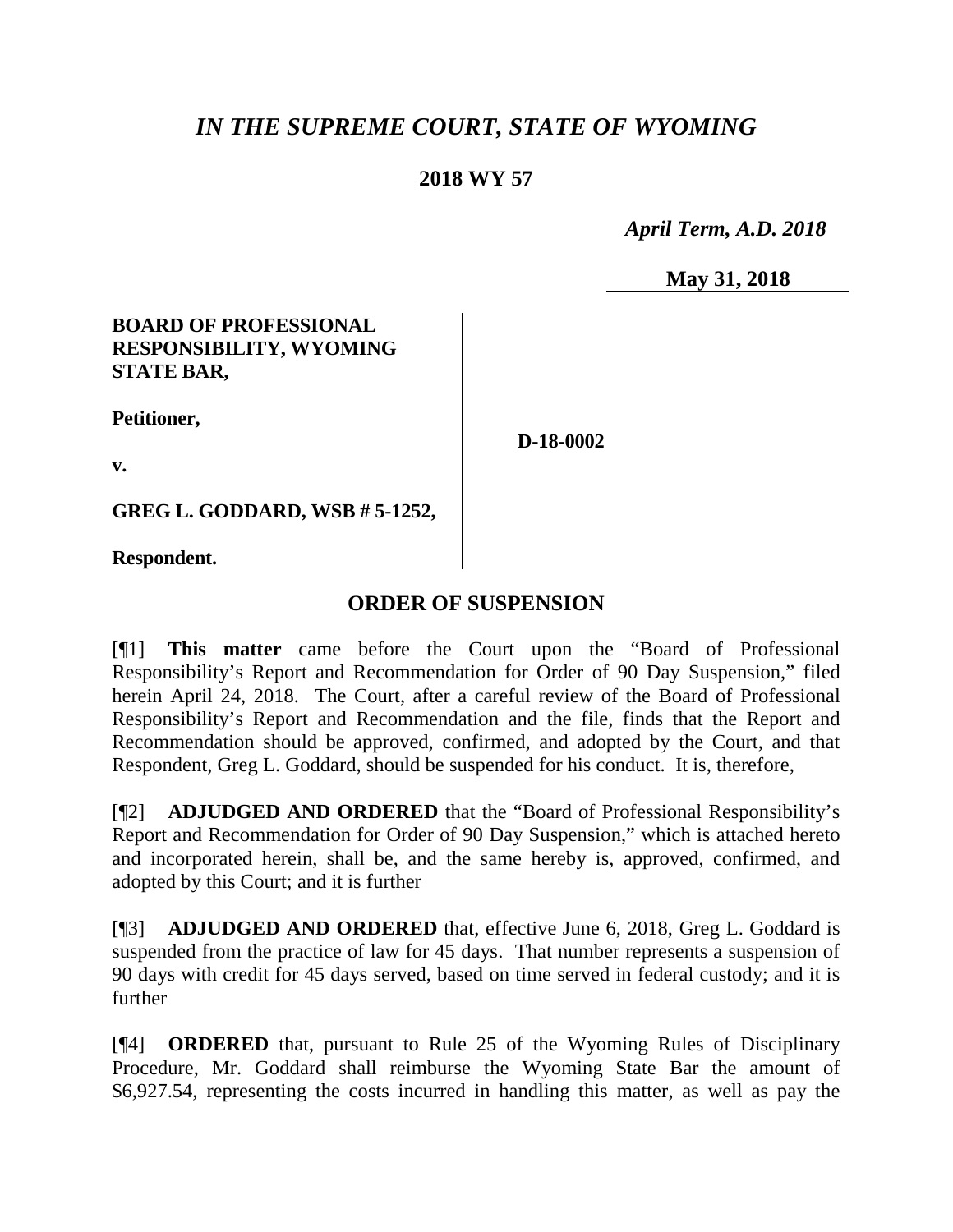# *IN THE SUPREME COURT, STATE OF WYOMING*

## **2018 WY 57**

 *April Term, A.D. 2018*

**May 31, 2018**

### **BOARD OF PROFESSIONAL RESPONSIBILITY, WYOMING STATE BAR,**

**Petitioner,**

**D-18-0002**

**v.**

**GREG L. GODDARD, WSB # 5-1252,**

**Respondent.**

## **ORDER OF SUSPENSION**

[¶1] **This matter** came before the Court upon the "Board of Professional Responsibility's Report and Recommendation for Order of 90 Day Suspension," filed herein April 24, 2018. The Court, after a careful review of the Board of Professional Responsibility's Report and Recommendation and the file, finds that the Report and Recommendation should be approved, confirmed, and adopted by the Court, and that Respondent, Greg L. Goddard, should be suspended for his conduct. It is, therefore,

[¶2] **ADJUDGED AND ORDERED** that the "Board of Professional Responsibility's Report and Recommendation for Order of 90 Day Suspension," which is attached hereto and incorporated herein, shall be, and the same hereby is, approved, confirmed, and adopted by this Court; and it is further

[¶3] **ADJUDGED AND ORDERED** that, effective June 6, 2018, Greg L. Goddard is suspended from the practice of law for 45 days. That number represents a suspension of 90 days with credit for 45 days served, based on time served in federal custody; and it is further

[¶4] **ORDERED** that, pursuant to Rule 25 of the Wyoming Rules of Disciplinary Procedure, Mr. Goddard shall reimburse the Wyoming State Bar the amount of \$6,927.54, representing the costs incurred in handling this matter, as well as pay the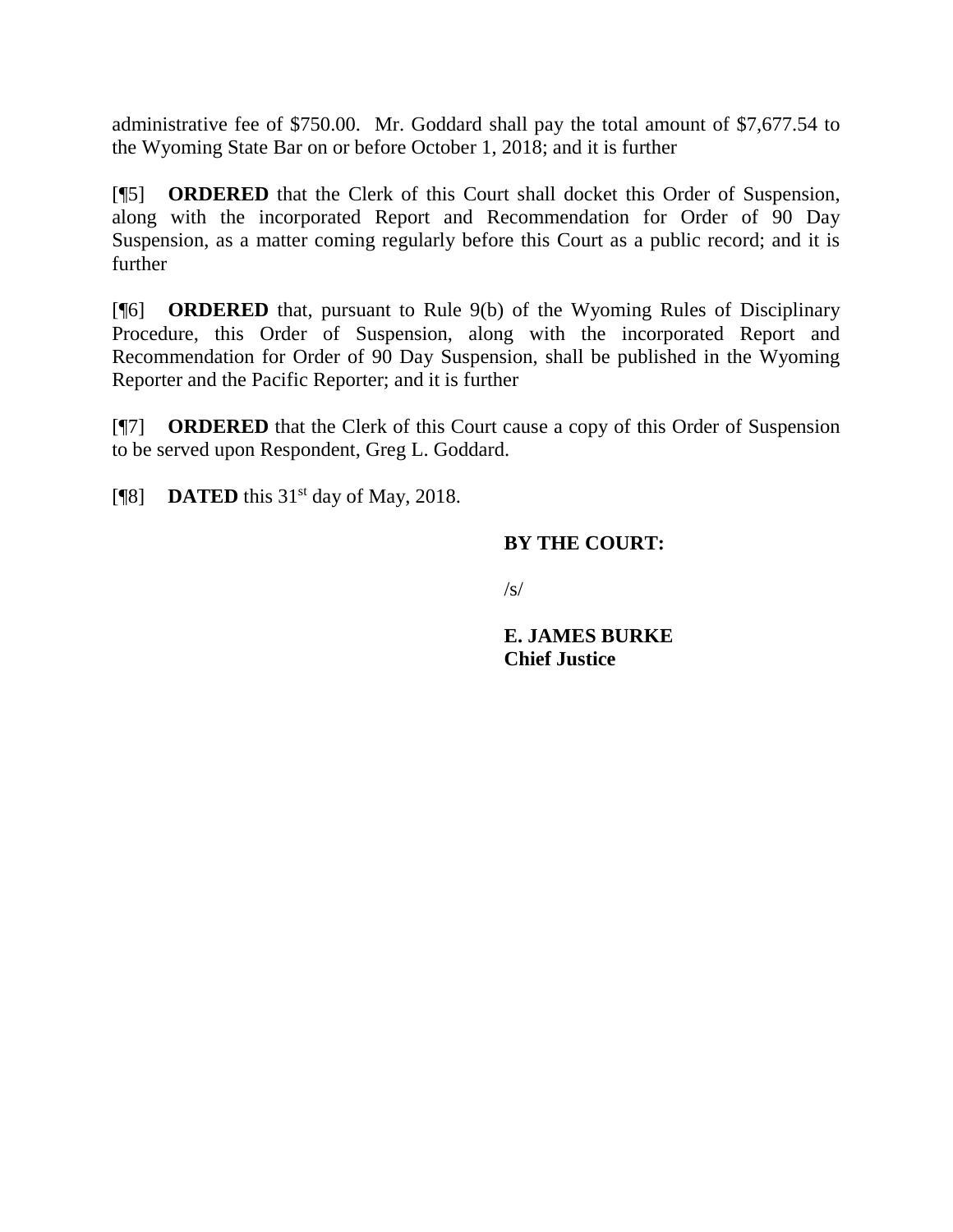administrative fee of \$750.00. Mr. Goddard shall pay the total amount of \$7,677.54 to the Wyoming State Bar on or before October 1, 2018; and it is further

[¶5] **ORDERED** that the Clerk of this Court shall docket this Order of Suspension, along with the incorporated Report and Recommendation for Order of 90 Day Suspension, as a matter coming regularly before this Court as a public record; and it is further

[¶6] **ORDERED** that, pursuant to Rule 9(b) of the Wyoming Rules of Disciplinary Procedure, this Order of Suspension, along with the incorporated Report and Recommendation for Order of 90 Day Suspension, shall be published in the Wyoming Reporter and the Pacific Reporter; and it is further

[¶7] **ORDERED** that the Clerk of this Court cause a copy of this Order of Suspension to be served upon Respondent, Greg L. Goddard.

[ $\textsf{N}$ 8] **DATED** this 31<sup>st</sup> day of May, 2018.

### **BY THE COURT:**

 $\sqrt{s}$ 

**E. JAMES BURKE Chief Justice**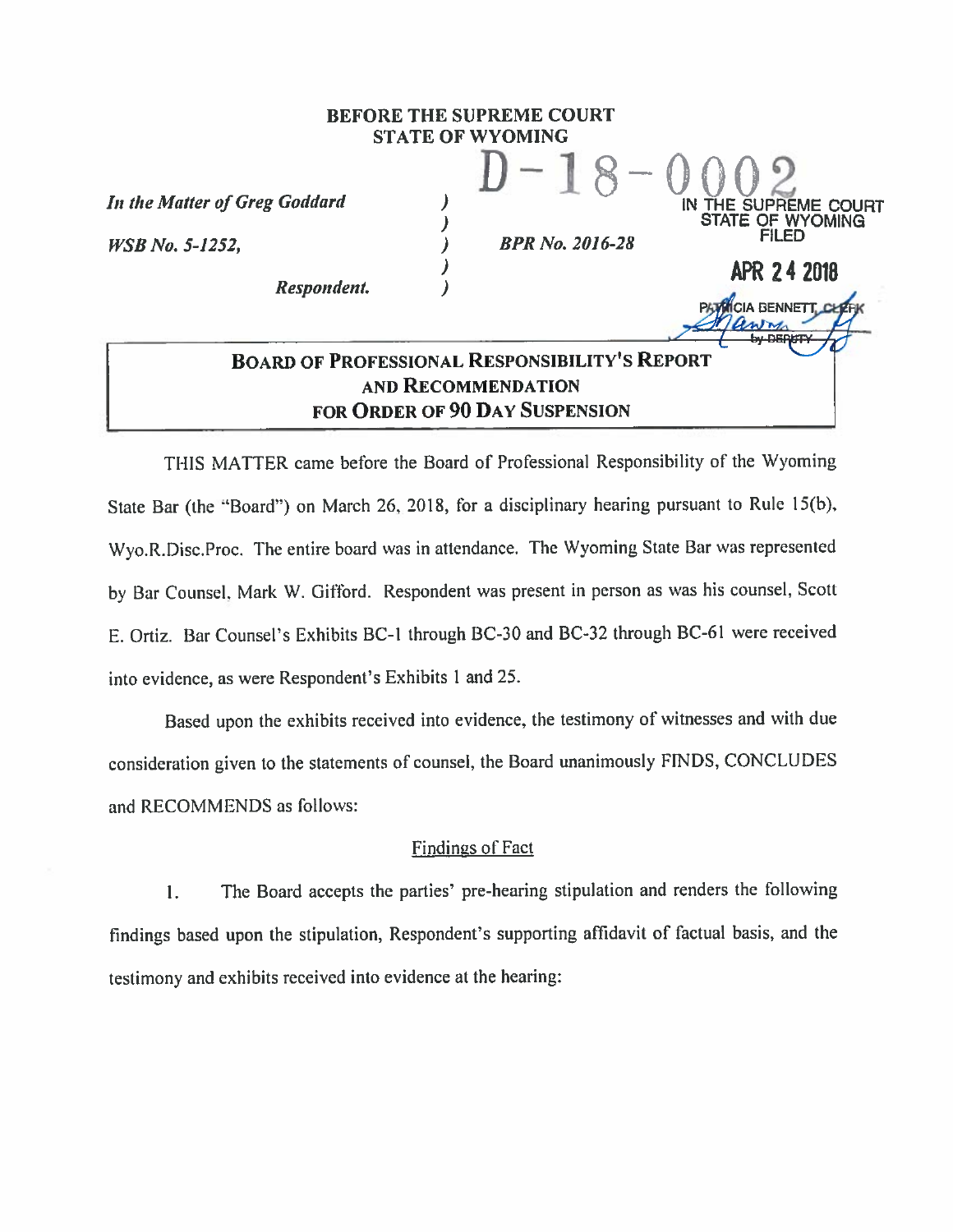#### **BEFORE THE SUPREME COURT STATE OF WYOMING**

丿

 $\lambda$ 

 $\lambda$ 

In the Matter of Greg Goddard

**WSB** No. 5-1252,

Respondent.

**BPR No. 2016-28** 

IN THE SUPREME COURT

**APR 24 2018** 

**CIA BENNETT.** 

WYOMING

## **BOARD OF PROFESSIONAL RESPONSIBILITY'S REPORT** AND RECOMMENDATION FOR ORDER OF 90 DAY SUSPENSION

THIS MATTER came before the Board of Professional Responsibility of the Wyoming State Bar (the "Board") on March 26, 2018, for a disciplinary hearing pursuant to Rule 15(b), Wyo.R.Disc.Proc. The entire board was in attendance. The Wyoming State Bar was represented by Bar Counsel, Mark W. Gifford. Respondent was present in person as was his counsel, Scott E. Ortiz. Bar Counsel's Exhibits BC-1 through BC-30 and BC-32 through BC-61 were received into evidence, as were Respondent's Exhibits 1 and 25.

Based upon the exhibits received into evidence, the testimony of witnesses and with due consideration given to the statements of counsel, the Board unanimously FINDS, CONCLUDES and RECOMMENDS as follows:

#### **Findings of Fact**

The Board accepts the parties' pre-hearing stipulation and renders the following 1. findings based upon the stipulation, Respondent's supporting affidavit of factual basis, and the testimony and exhibits received into evidence at the hearing: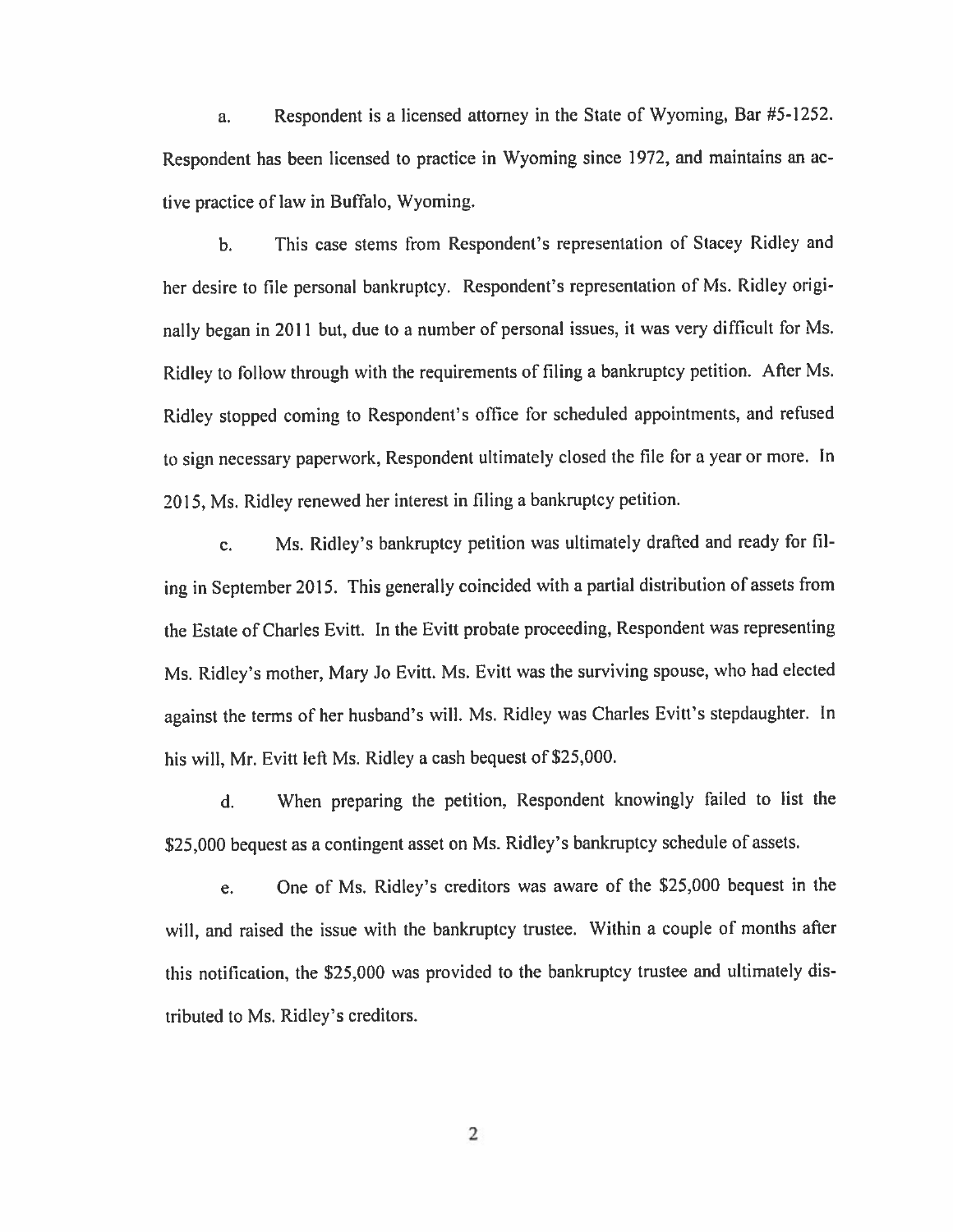Respondent is a licensed attorney in the State of Wyoming, Bar #5-1252. a. Respondent has been licensed to practice in Wyoming since 1972, and maintains an active practice of law in Buffalo, Wyoming.

This case stems from Respondent's representation of Stacey Ridley and  $<sub>b</sub>$ .</sub> her desire to file personal bankruptcy. Respondent's representation of Ms. Ridley originally began in 2011 but, due to a number of personal issues, it was very difficult for Ms. Ridley to follow through with the requirements of filing a bankruptcy petition. After Ms. Ridley stopped coming to Respondent's office for scheduled appointments, and refused to sign necessary paperwork, Respondent ultimately closed the file for a year or more. In 2015, Ms. Ridley renewed her interest in filing a bankruptcy petition.

Ms. Ridley's bankruptcy petition was ultimately drafted and ready for filc. ing in September 2015. This generally coincided with a partial distribution of assets from the Estate of Charles Evitt. In the Evitt probate proceeding, Respondent was representing Ms. Ridley's mother, Mary Jo Evitt. Ms. Evitt was the surviving spouse, who had elected against the terms of her husband's will. Ms. Ridley was Charles Evitt's stepdaughter. In his will, Mr. Evitt left Ms. Ridley a cash bequest of \$25,000.

When preparing the petition, Respondent knowingly failed to list the d. \$25,000 bequest as a contingent asset on Ms. Ridley's bankruptcy schedule of assets.

One of Ms. Ridley's creditors was aware of the \$25,000 bequest in the e. will, and raised the issue with the bankruptcy trustee. Within a couple of months after this notification, the \$25,000 was provided to the bankruptcy trustee and ultimately distributed to Ms. Ridley's creditors.

2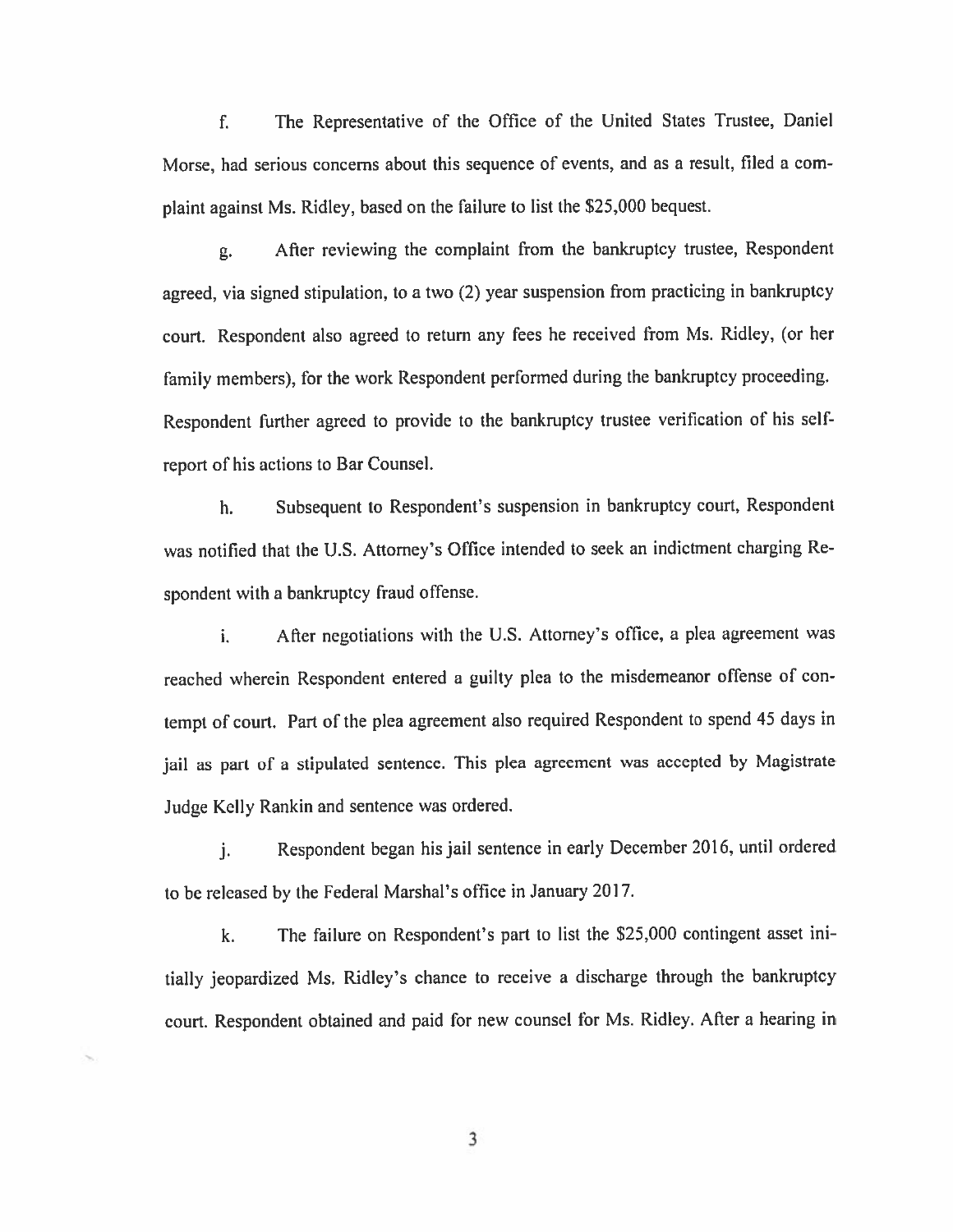The Representative of the Office of the United States Trustee, Daniel f. Morse, had serious concerns about this sequence of events, and as a result, filed a complaint against Ms. Ridley, based on the failure to list the \$25,000 bequest.

After reviewing the complaint from the bankruptcy trustee, Respondent g. agreed, via signed stipulation, to a two (2) year suspension from practicing in bankruptcy court. Respondent also agreed to return any fees he received from Ms. Ridley, (or her family members), for the work Respondent performed during the bankruptcy proceeding. Respondent further agreed to provide to the bankruptcy trustee verification of his selfreport of his actions to Bar Counsel.

Subsequent to Respondent's suspension in bankruptcy court, Respondent h. was notified that the U.S. Attorney's Office intended to seek an indictment charging Respondent with a bankruptcy fraud offense.

After negotiations with the U.S. Attorney's office, a plea agreement was i. reached wherein Respondent entered a guilty plea to the misdemeanor offense of contempt of court. Part of the plea agreement also required Respondent to spend 45 days in jail as part of a stipulated sentence. This plea agreement was accepted by Magistrate Judge Kelly Rankin and sentence was ordered.

Respondent began his jail sentence in early December 2016, until ordered j. to be released by the Federal Marshal's office in January 2017.

The failure on Respondent's part to list the \$25,000 contingent asset inik. tially jeopardized Ms. Ridley's chance to receive a discharge through the bankruptcy court. Respondent obtained and paid for new counsel for Ms. Ridley. After a hearing in

3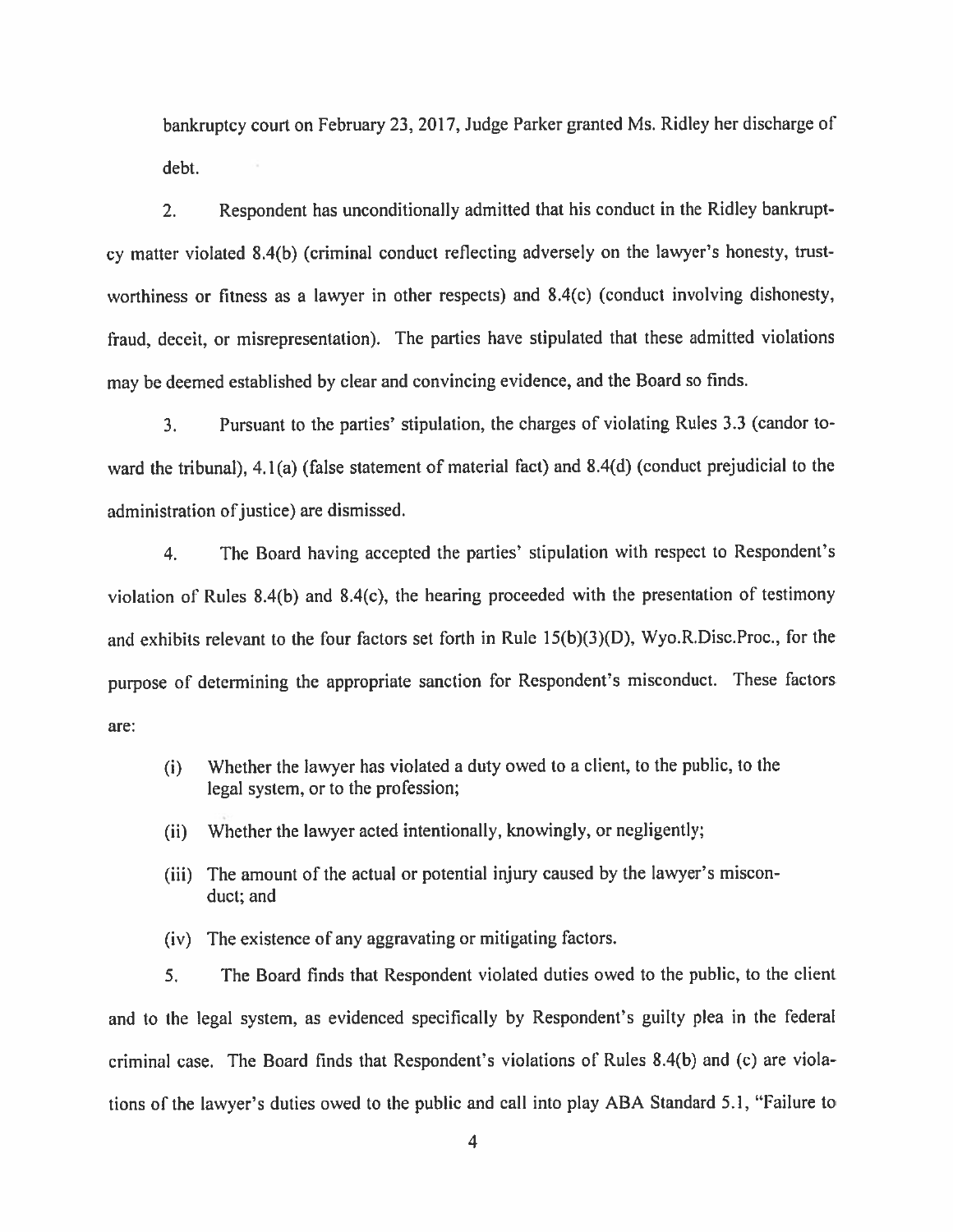bankruptcy court on February 23, 2017, Judge Parker granted Ms. Ridley her discharge of debt.

Respondent has unconditionally admitted that his conduct in the Ridley bankrupt- $2.$ cy matter violated 8.4(b) (criminal conduct reflecting adversely on the lawyer's honesty, trustworthiness or fitness as a lawyer in other respects) and 8.4(c) (conduct involving dishonesty, fraud, deceit, or misrepresentation). The parties have stipulated that these admitted violations may be deemed established by clear and convincing evidence, and the Board so finds.

Pursuant to the parties' stipulation, the charges of violating Rules 3.3 (candor to- $3<sub>1</sub>$ ward the tribunal), 4.1(a) (false statement of material fact) and 8.4(d) (conduct prejudicial to the administration of justice) are dismissed.

The Board having accepted the parties' stipulation with respect to Respondent's  $4.$ violation of Rules  $8.4(b)$  and  $8.4(c)$ , the hearing proceeded with the presentation of testimony and exhibits relevant to the four factors set forth in Rule 15(b)(3)(D), Wyo.R.Disc.Proc., for the purpose of determining the appropriate sanction for Respondent's misconduct. These factors are:

- Whether the lawyer has violated a duty owed to a client, to the public, to the  $(i)$ legal system, or to the profession;
- Whether the lawyer acted intentionally, knowingly, or negligently;  $(ii)$
- (iii) The amount of the actual or potential injury caused by the lawyer's misconduct; and
- (iv) The existence of any aggravating or mitigating factors.

5. The Board finds that Respondent violated duties owed to the public, to the client and to the legal system, as evidenced specifically by Respondent's guilty plea in the federal criminal case. The Board finds that Respondent's violations of Rules 8.4(b) and (c) are violations of the lawyer's duties owed to the public and call into play ABA Standard 5.1, "Failure to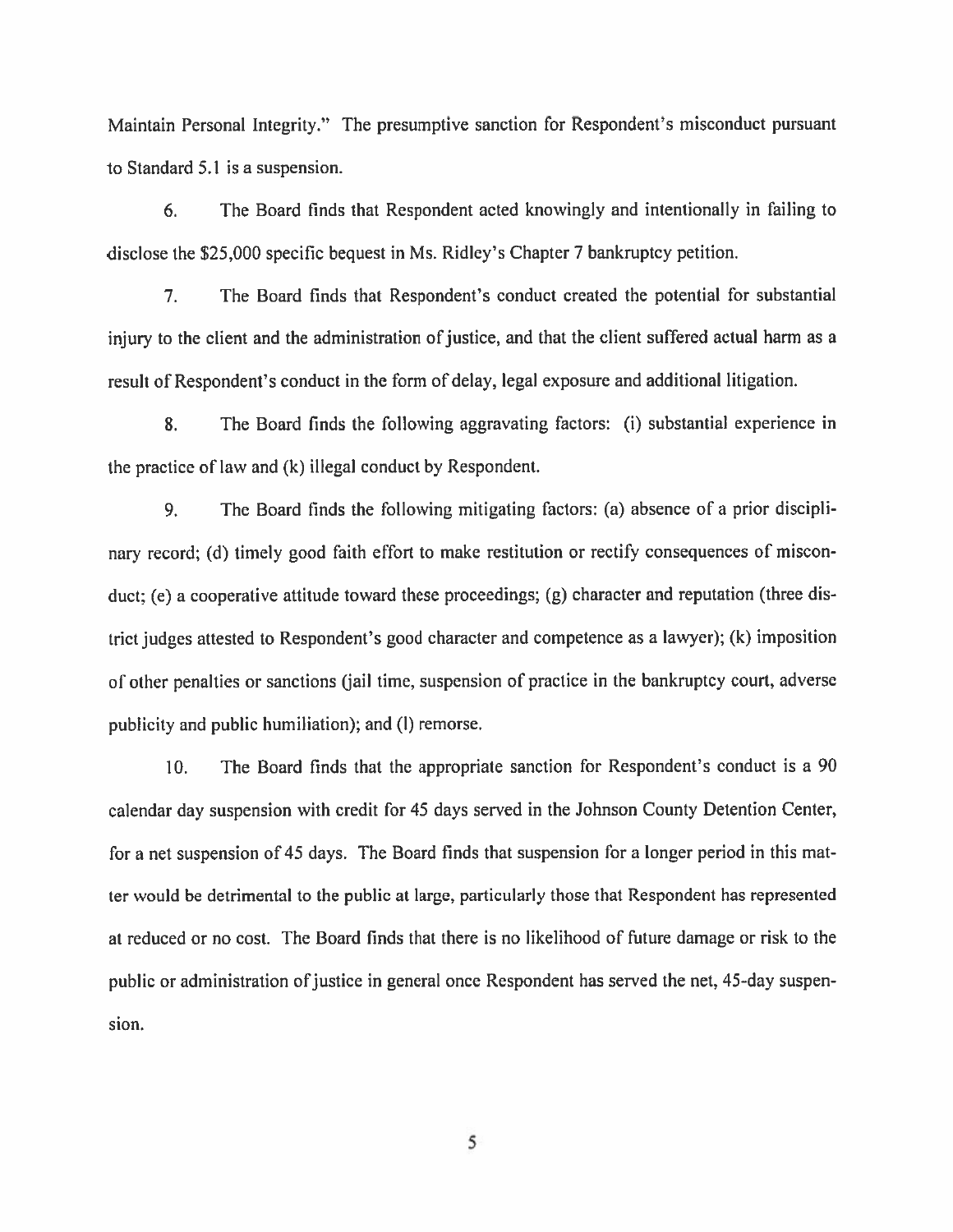Maintain Personal Integrity." The presumptive sanction for Respondent's misconduct pursuant to Standard 5.1 is a suspension.

 $6.$ The Board finds that Respondent acted knowingly and intentionally in failing to disclose the \$25,000 specific bequest in Ms. Ridley's Chapter 7 bankruptcy petition.

 $7<sub>1</sub>$ The Board finds that Respondent's conduct created the potential for substantial injury to the client and the administration of justice, and that the client suffered actual harm as a result of Respondent's conduct in the form of delay, legal exposure and additional litigation.

The Board finds the following aggravating factors: (i) substantial experience in  $\mathbf{8}$ . the practice of law and (k) illegal conduct by Respondent.

The Board finds the following mitigating factors: (a) absence of a prior discipli-9. nary record; (d) timely good faith effort to make restitution or rectify consequences of misconduct; (e) a cooperative attitude toward these proceedings; (g) character and reputation (three district judges attested to Respondent's good character and competence as a lawyer); (k) imposition of other penalties or sanctions (jail time, suspension of practice in the bankruptcy court, adverse publicity and public humiliation); and (I) remorse.

The Board finds that the appropriate sanction for Respondent's conduct is a 90  $10.$ calendar day suspension with credit for 45 days served in the Johnson County Detention Center, for a net suspension of 45 days. The Board finds that suspension for a longer period in this matter would be detrimental to the public at large, particularly those that Respondent has represented at reduced or no cost. The Board finds that there is no likelihood of future damage or risk to the public or administration of justice in general once Respondent has served the net, 45-day suspension.

5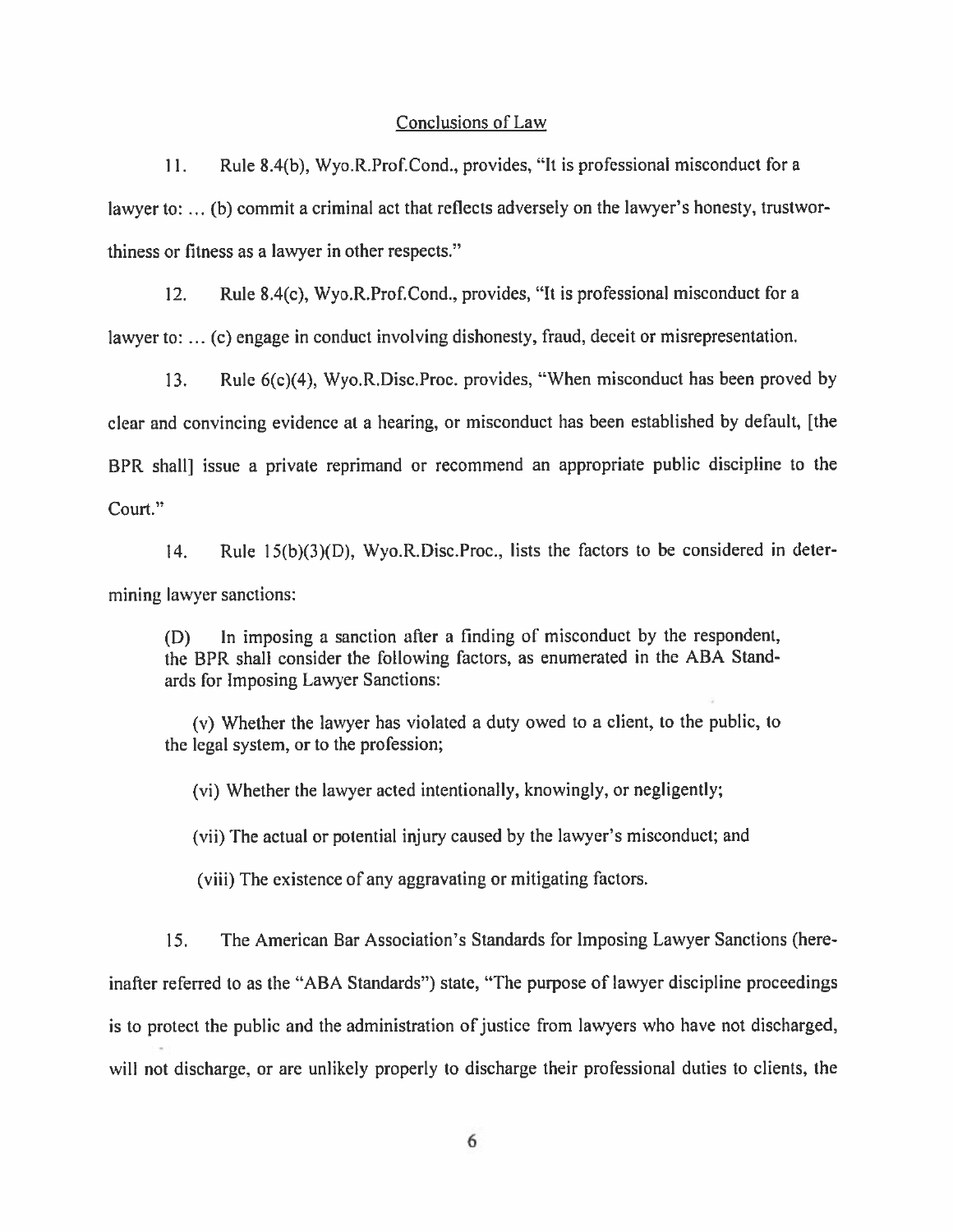#### Conclusions of Law

Rule 8.4(b), Wyo.R.Prof.Cond., provides, "It is professional misconduct for a  $11<sub>1</sub>$ lawyer to: ... (b) commit a criminal act that reflects adversely on the lawyer's honesty, trustworthiness or fitness as a lawyer in other respects."

 $12<sub>1</sub>$ Rule 8.4(c), Wyo.R.Prof.Cond., provides, "It is professional misconduct for a lawyer to: ... (c) engage in conduct involving dishonesty, fraud, deceit or misrepresentation.

Rule 6(c)(4), Wyo, R, Disc, Proc. provides, "When misconduct has been proved by  $13.$ clear and convincing evidence at a hearing, or misconduct has been established by default, [the BPR shall issue a private reprimand or recommend an appropriate public discipline to the Court."

Rule 15(b)(3)(D), Wyo.R.Disc.Proc., lists the factors to be considered in deter- $14.$ mining lawyer sanctions:

In imposing a sanction after a finding of misconduct by the respondent, (D) the BPR shall consider the following factors, as enumerated in the ABA Standards for Imposing Lawyer Sanctions:

(y) Whether the lawyer has violated a duty owed to a client, to the public, to the legal system, or to the profession;

(vi) Whether the lawyer acted intentionally, knowingly, or negligently;

(vii) The actual or potential injury caused by the lawyer's misconduct; and

(viii) The existence of any aggravating or mitigating factors.

The American Bar Association's Standards for Imposing Lawyer Sanctions (here-15. inafter referred to as the "ABA Standards") state, "The purpose of lawyer discipline proceedings is to protect the public and the administration of justice from lawyers who have not discharged, will not discharge, or are unlikely properly to discharge their professional duties to clients, the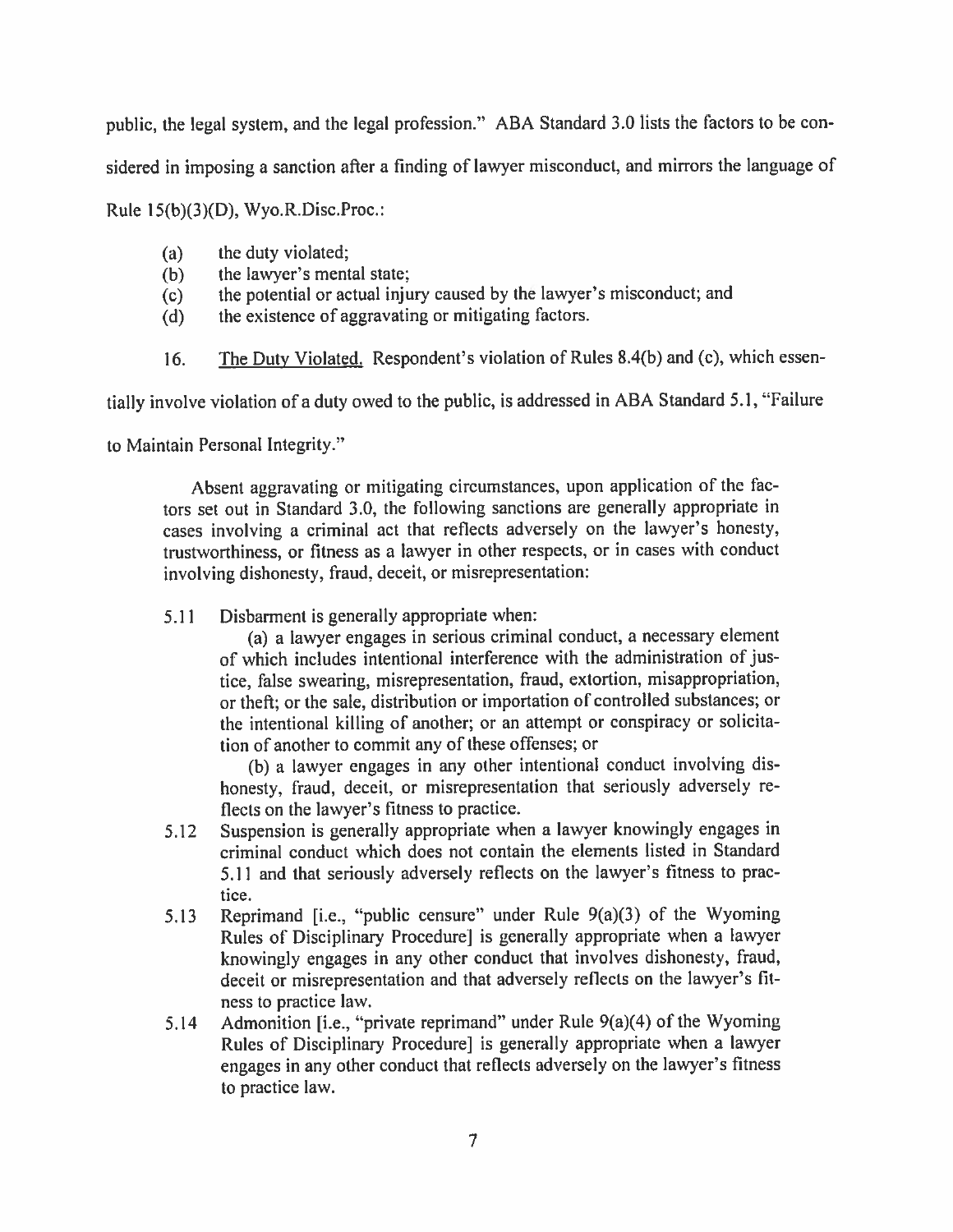public, the legal system, and the legal profession." ABA Standard 3.0 lists the factors to be con-

sidered in imposing a sanction after a finding of lawyer misconduct, and mirrors the language of

Rule  $15(b)(3)(D)$ , Wyo.R.Disc.Proc.:

- the duty violated;  $(a)$
- the lawyer's mental state;  $(b)$
- the potential or actual injury caused by the lawyer's misconduct; and  $(c)$
- the existence of aggravating or mitigating factors.  $(d)$
- The Duty Violated. Respondent's violation of Rules 8.4(b) and (c), which essen-16.

tially involve violation of a duty owed to the public, is addressed in ABA Standard 5.1, "Failure

to Maintain Personal Integrity."

Absent aggravating or mitigating circumstances, upon application of the factors set out in Standard 3.0, the following sanctions are generally appropriate in cases involving a criminal act that reflects adversely on the lawyer's honesty, trustworthiness, or fitness as a lawyer in other respects, or in cases with conduct involving dishonesty, fraud, deceit, or misrepresentation:

 $5.11$ Disbarment is generally appropriate when:

(a) a lawyer engages in serious criminal conduct, a necessary element of which includes intentional interference with the administration of justice, false swearing, misrepresentation, fraud, extortion, misappropriation, or theft; or the sale, distribution or importation of controlled substances; or the intentional killing of another; or an attempt or conspiracy or solicitation of another to commit any of these offenses; or

(b) a lawyer engages in any other intentional conduct involving dishonesty, fraud, deceit, or misrepresentation that seriously adversely reflects on the lawyer's fitness to practice.

- Suspension is generally appropriate when a lawyer knowingly engages in  $5.12$ criminal conduct which does not contain the elements listed in Standard 5.11 and that seriously adversely reflects on the lawyer's fitness to practice.
- Reprimand [i.e., "public censure" under Rule 9(a)(3) of the Wyoming  $5.13$ Rules of Disciplinary Procedure] is generally appropriate when a lawyer knowingly engages in any other conduct that involves dishonesty, fraud, deceit or misrepresentation and that adversely reflects on the lawyer's fitness to practice law.
- Admonition [i.e., "private reprimand" under Rule  $9(a)(4)$  of the Wyoming  $5.14$ Rules of Disciplinary Procedure] is generally appropriate when a lawyer engages in any other conduct that reflects adversely on the lawyer's fitness to practice law.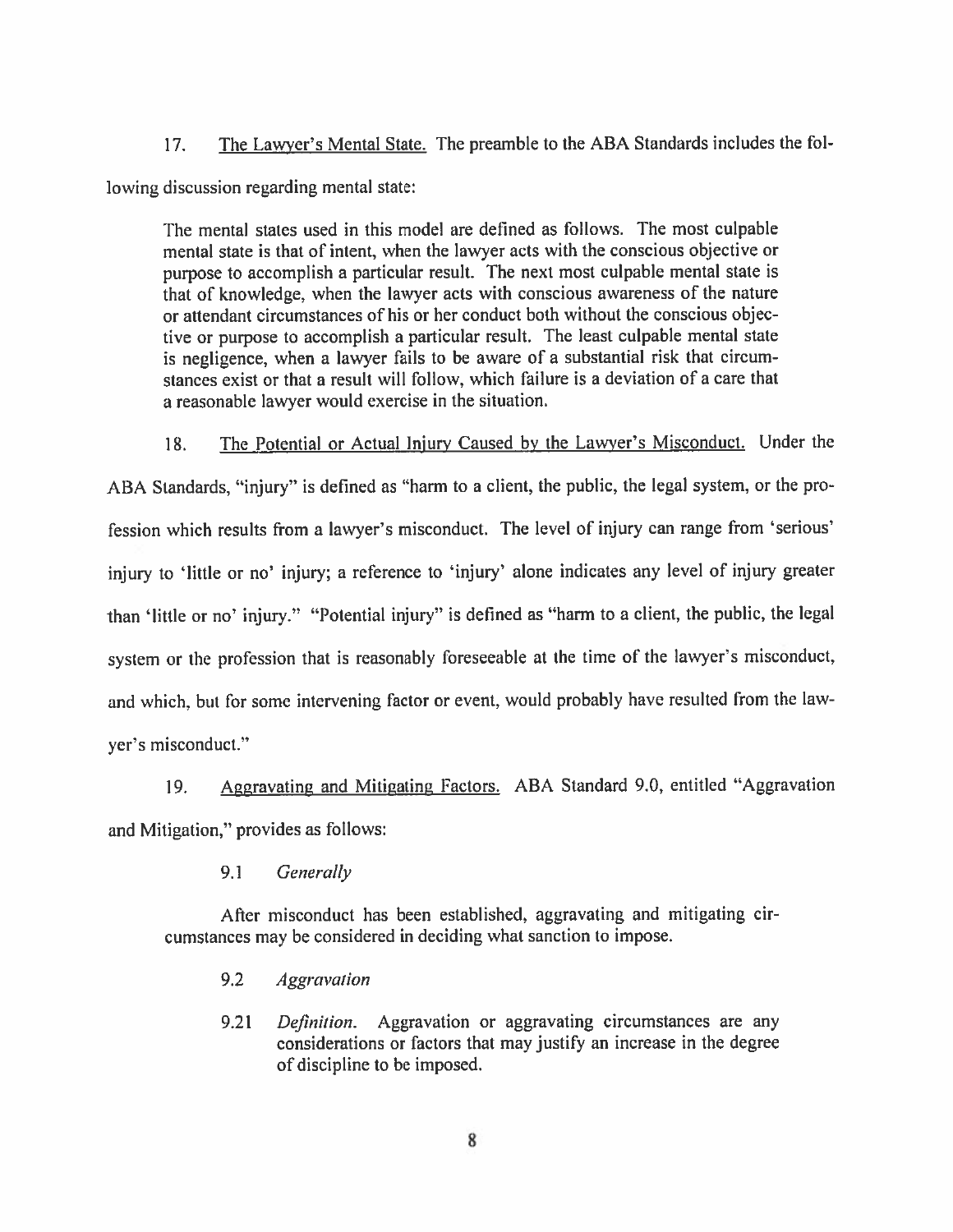The Lawyer's Mental State. The preamble to the ABA Standards includes the fol-17.

lowing discussion regarding mental state:

The mental states used in this model are defined as follows. The most culpable mental state is that of intent, when the lawyer acts with the conscious objective or purpose to accomplish a particular result. The next most culpable mental state is that of knowledge, when the lawyer acts with conscious awareness of the nature or attendant circumstances of his or her conduct both without the conscious objective or purpose to accomplish a particular result. The least culpable mental state is negligence, when a lawyer fails to be aware of a substantial risk that circumstances exist or that a result will follow, which failure is a deviation of a care that a reasonable lawyer would exercise in the situation.

The Potential or Actual Injury Caused by the Lawyer's Misconduct. Under the 18.

ABA Standards, "injury" is defined as "harm to a client, the public, the legal system, or the profession which results from a lawyer's misconduct. The level of injury can range from 'serious' injury to 'little or no' injury; a reference to 'injury' alone indicates any level of injury greater than 'little or no' injury." "Potential injury" is defined as "harm to a client, the public, the legal system or the profession that is reasonably foreseeable at the time of the lawyer's misconduct, and which, but for some intervening factor or event, would probably have resulted from the lawyer's misconduct."

19. Aggravating and Mitigating Factors. ABA Standard 9.0, entitled "Aggravation and Mitigation," provides as follows:

> Generally 9.1

After misconduct has been established, aggravating and mitigating circumstances may be considered in deciding what sanction to impose.

- $9.2$ **Aggravation**
- Definition. Aggravation or aggravating circumstances are any  $9.21$ considerations or factors that may justify an increase in the degree of discipline to be imposed.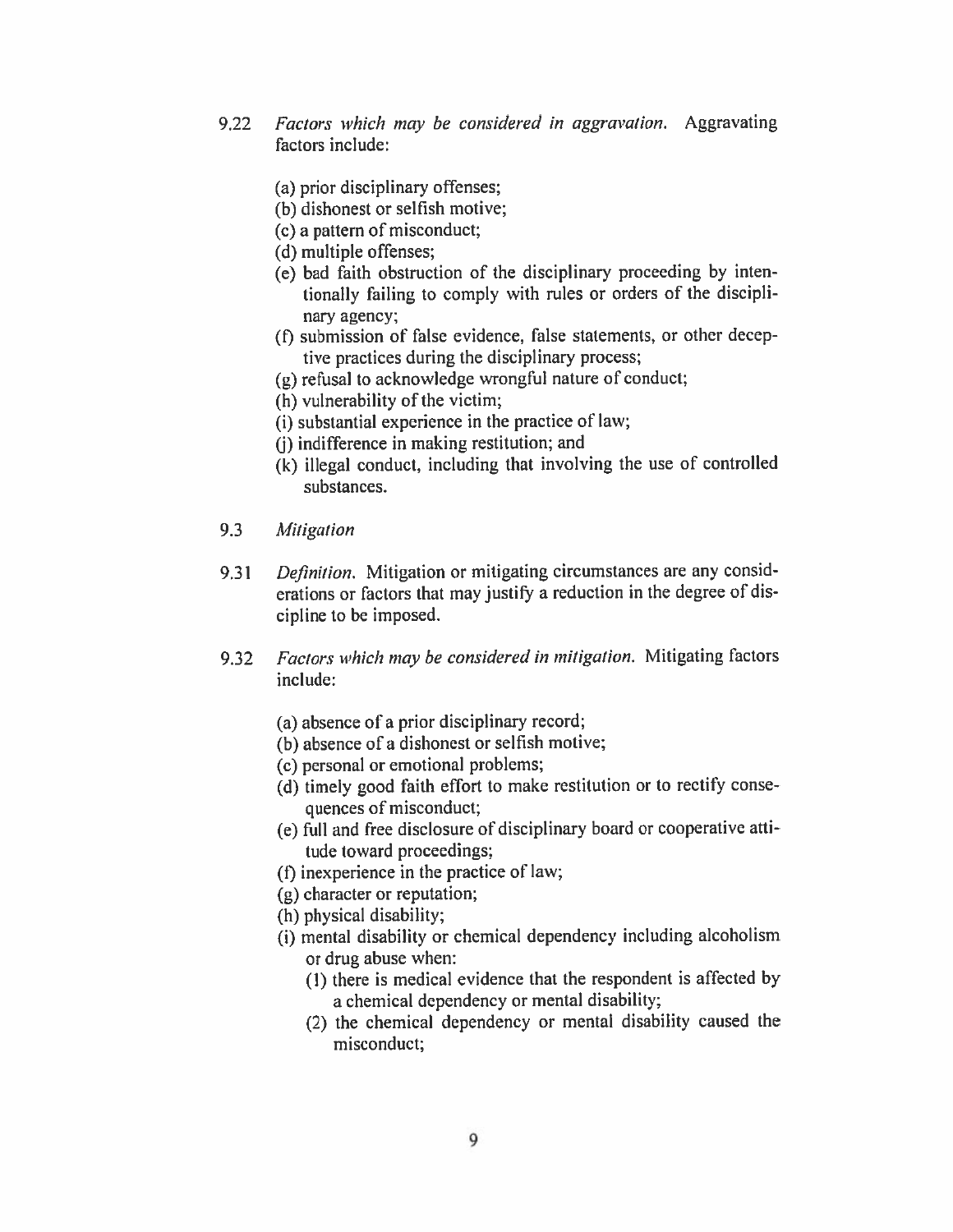- Factors which may be considered in aggravation. Aggravating 9.22 factors include:
	- (a) prior disciplinary offenses;
	- (b) dishonest or selfish motive;
	- (c) a pattern of misconduct:
	- (d) multiple offenses;
	- (e) bad faith obstruction of the disciplinary proceeding by intentionally failing to comply with rules or orders of the disciplinary agency;
	- (f) submission of false evidence, false statements, or other deceptive practices during the disciplinary process;
	- (g) refusal to acknowledge wrongful nature of conduct;
	- (h) vulnerability of the victim;
	- (i) substantial experience in the practice of law;
	- (i) indifference in making restitution; and
	- (k) illegal conduct, including that involving the use of controlled substances.
- 9.3 Mitigation
- $9.31$ Definition. Mitigation or mitigating circumstances are any considerations or factors that may justify a reduction in the degree of discipline to be imposed.
- Factors which may be considered in mitigation. Mitigating factors  $9.32$ include:
	- (a) absence of a prior disciplinary record;
	- (b) absence of a dishonest or selfish motive;
	- (c) personal or emotional problems;
	- (d) timely good faith effort to make restitution or to rectify consequences of misconduct;
	- (e) full and free disclosure of disciplinary board or cooperative attitude toward proceedings;
	- (f) in experience in the practice of law;
	- (g) character or reputation;
	- (h) physical disability;
	- (i) mental disability or chemical dependency including alcoholism or drug abuse when:
		- (1) there is medical evidence that the respondent is affected by a chemical dependency or mental disability;
		- (2) the chemical dependency or mental disability caused the misconduct;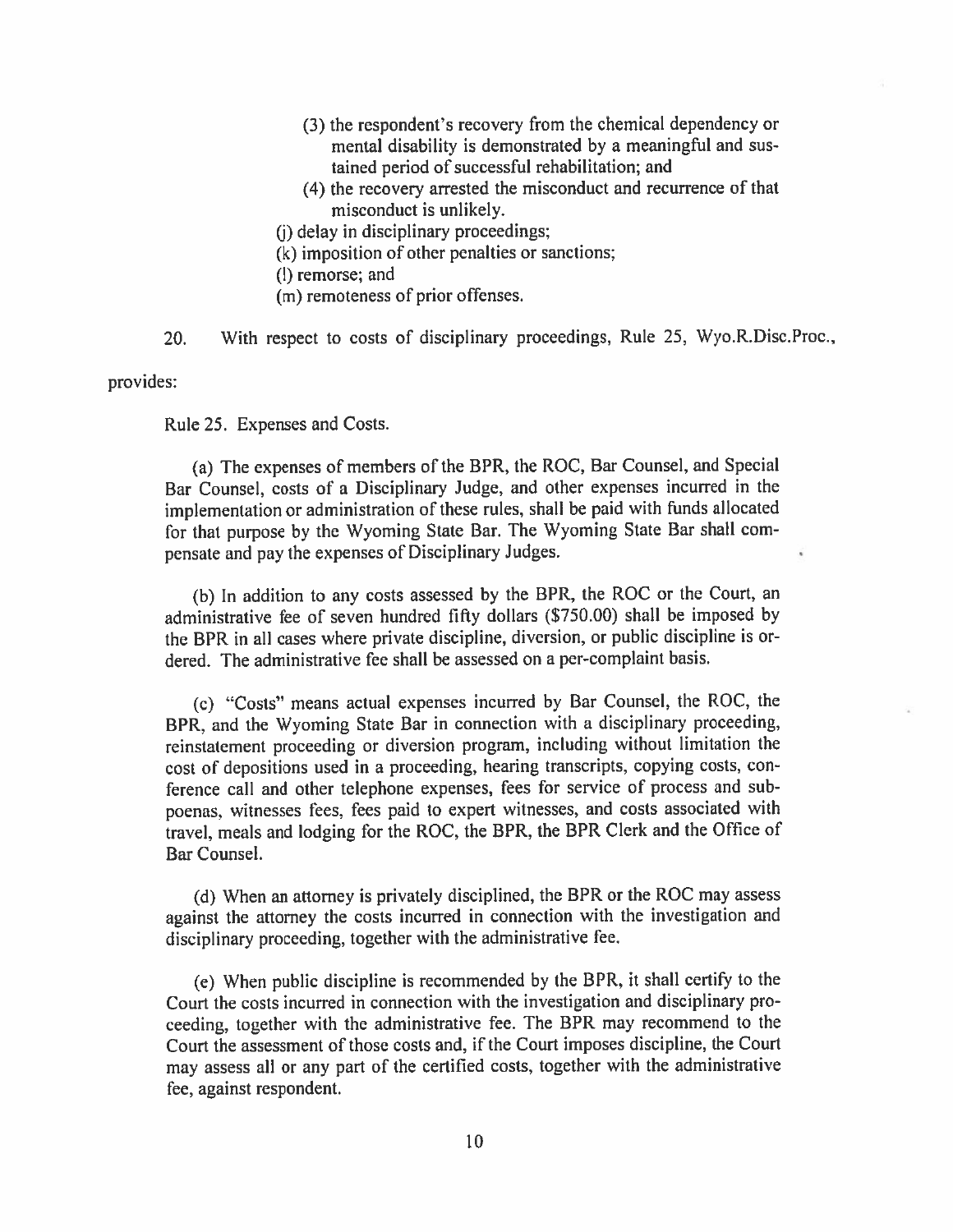- (3) the respondent's recovery from the chemical dependency or mental disability is demonstrated by a meaningful and sustained period of successful rehabilitation; and
- (4) the recovery arrested the misconduct and recurrence of that misconduct is unlikely.
- (i) delay in disciplinary proceedings;
- (k) imposition of other penalties or sanctions;
- (l) remorse; and
- (m) remoteness of prior offenses.
- With respect to costs of disciplinary proceedings, Rule 25, Wyo.R.Disc.Proc., 20.

provides:

Rule 25. Expenses and Costs.

(a) The expenses of members of the BPR, the ROC, Bar Counsel, and Special Bar Counsel, costs of a Disciplinary Judge, and other expenses incurred in the implementation or administration of these rules, shall be paid with funds allocated for that purpose by the Wyoming State Bar. The Wyoming State Bar shall compensate and pay the expenses of Disciplinary Judges.

(b) In addition to any costs assessed by the BPR, the ROC or the Court, an administrative fee of seven hundred fifty dollars (\$750.00) shall be imposed by the BPR in all cases where private discipline, diversion, or public discipline is ordered. The administrative fee shall be assessed on a per-complaint basis.

(c) "Costs" means actual expenses incurred by Bar Counsel, the ROC, the BPR, and the Wyoming State Bar in connection with a disciplinary proceeding, reinstatement proceeding or diversion program, including without limitation the cost of depositions used in a proceeding, hearing transcripts, copying costs, conference call and other telephone expenses, fees for service of process and subpoenas, witnesses fees, fees paid to expert witnesses, and costs associated with travel, meals and lodging for the ROC, the BPR, the BPR Clerk and the Office of Bar Counsel.

(d) When an attorney is privately disciplined, the BPR or the ROC may assess against the attorney the costs incurred in connection with the investigation and disciplinary proceeding, together with the administrative fee.

(e) When public discipline is recommended by the BPR, it shall certify to the Court the costs incurred in connection with the investigation and disciplinary proceeding, together with the administrative fee. The BPR may recommend to the Court the assessment of those costs and, if the Court imposes discipline, the Court may assess all or any part of the certified costs, together with the administrative fee, against respondent.